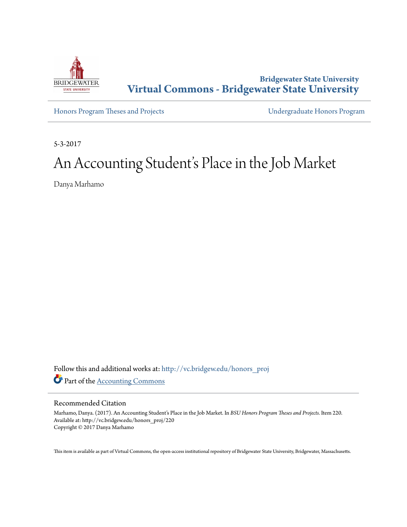

**Bridgewater State University [Virtual Commons - Bridgewater State University](http://vc.bridgew.edu?utm_source=vc.bridgew.edu%2Fhonors_proj%2F220&utm_medium=PDF&utm_campaign=PDFCoverPages)**

[Honors Program Theses and Projects](http://vc.bridgew.edu/honors_proj?utm_source=vc.bridgew.edu%2Fhonors_proj%2F220&utm_medium=PDF&utm_campaign=PDFCoverPages) [Undergraduate Honors Program](http://vc.bridgew.edu/honors?utm_source=vc.bridgew.edu%2Fhonors_proj%2F220&utm_medium=PDF&utm_campaign=PDFCoverPages)

5-3-2017

# An Accounting Student's Place in the Job Market

Danya Marhamo

Follow this and additional works at: [http://vc.bridgew.edu/honors\\_proj](http://vc.bridgew.edu/honors_proj?utm_source=vc.bridgew.edu%2Fhonors_proj%2F220&utm_medium=PDF&utm_campaign=PDFCoverPages) Part of the [Accounting Commons](http://network.bepress.com/hgg/discipline/625?utm_source=vc.bridgew.edu%2Fhonors_proj%2F220&utm_medium=PDF&utm_campaign=PDFCoverPages)

#### Recommended Citation

Marhamo, Danya. (2017). An Accounting Student's Place in the Job Market. In *BSU Honors Program Theses and Projects.* Item 220. Available at: http://vc.bridgew.edu/honors\_proj/220 Copyright © 2017 Danya Marhamo

This item is available as part of Virtual Commons, the open-access institutional repository of Bridgewater State University, Bridgewater, Massachusetts.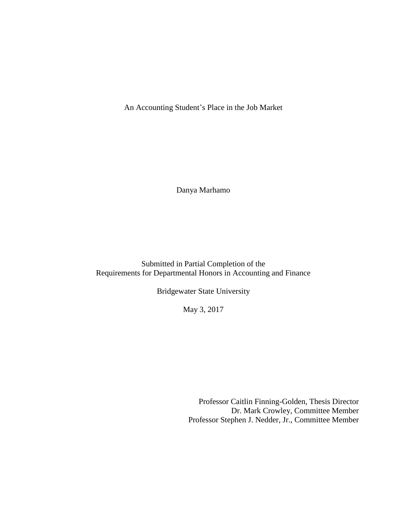An Accounting Student's Place in the Job Market

Danya Marhamo

Submitted in Partial Completion of the Requirements for Departmental Honors in Accounting and Finance

Bridgewater State University

May 3, 2017

Professor Caitlin Finning-Golden, Thesis Director Dr. Mark Crowley, Committee Member Professor Stephen J. Nedder, Jr., Committee Member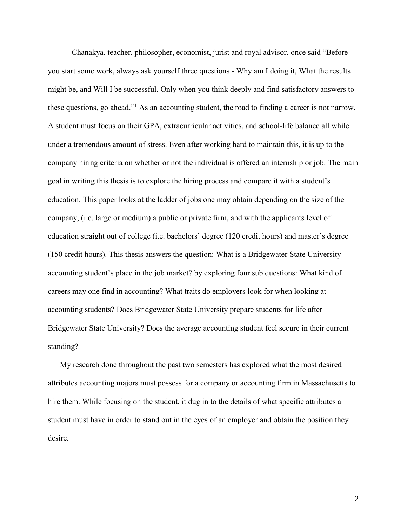Chanakya, teacher, philosopher, economist, jurist and royal advisor, once said "Before you start some work, always ask yourself three questions - Why am I doing it, What the results might be, and Will I be successful. Only when you think deeply and find satisfactory answers to these questions, go ahead."<sup>1</sup> As an accounting student, the road to finding a career is not narrow. A student must focus on their GPA, extracurricular activities, and school-life balance all while under a tremendous amount of stress. Even after working hard to maintain this, it is up to the company hiring criteria on whether or not the individual is offered an internship or job. The main goal in writing this thesis is to explore the hiring process and compare it with a student's education. This paper looks at the ladder of jobs one may obtain depending on the size of the company, (i.e. large or medium) a public or private firm, and with the applicants level of education straight out of college (i.e. bachelors' degree (120 credit hours) and master's degree (150 credit hours). This thesis answers the question: What is a Bridgewater State University accounting student's place in the job market? by exploring four sub questions: What kind of careers may one find in accounting? What traits do employers look for when looking at accounting students? Does Bridgewater State University prepare students for life after Bridgewater State University? Does the average accounting student feel secure in their current standing?

My research done throughout the past two semesters has explored what the most desired attributes accounting majors must possess for a company or accounting firm in Massachusetts to hire them. While focusing on the student, it dug in to the details of what specific attributes a student must have in order to stand out in the eyes of an employer and obtain the position they desire.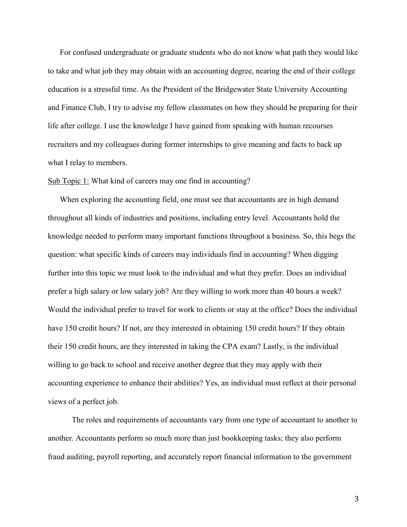For confused undergraduate or graduate students who do not know what path they would like to take and what job they may obtain with an accounting degree, nearing the end of their college education is a stressful time. As the President of the Bridgewater State University Accounting and Finance Club, I try to advise my fellow classmates on how they should be preparing for their life after college. I use the knowledge I have gained from speaking with human recourses recruiters and my colleagues during former internships to give meaning and facts to back up what I relay to members.

### Sub Topic 1: What kind of careers may one find in accounting?

When exploring the accounting field, one must see that accountants are in high demand throughout all kinds of industries and positions, including entry level. Accountants hold the knowledge needed to perform many important functions throughout a business. So, this begs the question: what specific kinds of careers may individuals find in accounting? When digging further into this topic we must look to the individual and what they prefer. Does an individual prefer a high salary or low salary job? Are they willing to work more than 40 hours a week? Would the individual prefer to travel for work to clients or stay at the office? Does the individual have 150 credit hours? If not, are they interested in obtaining 150 credit hours? If they obtain their 150 credit hours, are they interested in taking the CPA exam? Lastly, is the individual willing to go back to school and receive another degree that they may apply with their accounting experience to enhance their abilities? Yes, an individual must reflect at their personal views of a perfect job.

The roles and requirements of accountants vary from one type of accountant to another to another. Accountants perform so much more than just bookkeeping tasks; they also perform fraud auditing, payroll reporting, and accurately report financial information to the government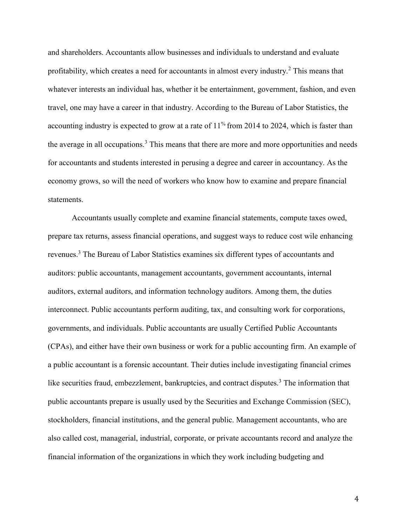and shareholders. Accountants allow businesses and individuals to understand and evaluate profitability, which creates a need for accountants in almost every industry.<sup>2</sup> This means that whatever interests an individual has, whether it be entertainment, government, fashion, and even travel, one may have a career in that industry. According to the Bureau of Labor Statistics, the accounting industry is expected to grow at a rate of  $11\%$  from 2014 to 2024, which is faster than the average in all occupations.<sup>3</sup> This means that there are more and more opportunities and needs for accountants and students interested in perusing a degree and career in accountancy. As the economy grows, so will the need of workers who know how to examine and prepare financial statements.

Accountants usually complete and examine financial statements, compute taxes owed, prepare tax returns, assess financial operations, and suggest ways to reduce cost wile enhancing revenues.<sup>3</sup> The Bureau of Labor Statistics examines six different types of accountants and auditors: public accountants, management accountants, government accountants, internal auditors, external auditors, and information technology auditors. Among them, the duties interconnect. Public accountants perform auditing, tax, and consulting work for corporations, governments, and individuals. Public accountants are usually Certified Public Accountants (CPAs), and either have their own business or work for a public accounting firm. An example of a public accountant is a forensic accountant. Their duties include investigating financial crimes like securities fraud, embezzlement, bankruptcies, and contract disputes.<sup>3</sup> The information that public accountants prepare is usually used by the Securities and Exchange Commission (SEC), stockholders, financial institutions, and the general public. Management accountants, who are also called cost, managerial, industrial, corporate, or private accountants record and analyze the financial information of the organizations in which they work including budgeting and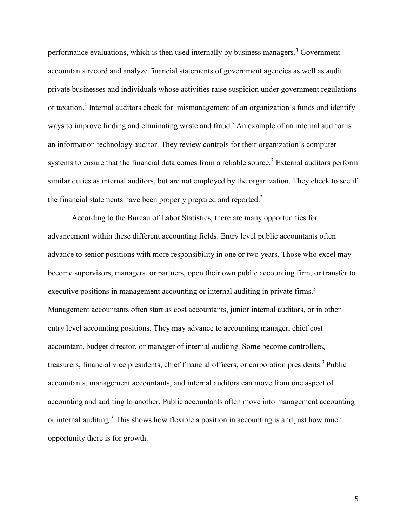performance evaluations, which is then used internally by business managers.<sup>3</sup> Government accountants record and analyze financial statements of government agencies as well as audit private businesses and individuals whose activities raise suspicion under government regulations or taxation.<sup>3</sup> Internal auditors check for mismanagement of an organization's funds and identify ways to improve finding and eliminating waste and fraud.<sup>3</sup> An example of an internal auditor is an information technology auditor. They review controls for their organization's computer systems to ensure that the financial data comes from a reliable source.<sup>3</sup> External auditors perform similar duties as internal auditors, but are not employed by the organization. They check to see if the financial statements have been properly prepared and reported.<sup>3</sup>

According to the Bureau of Labor Statistics, there are many opportunities for advancement within these different accounting fields. Entry level public accountants often advance to senior positions with more responsibility in one or two years. Those who excel may become supervisors, managers, or partners, open their own public accounting firm, or transfer to executive positions in management accounting or internal auditing in private firms.<sup>3</sup> Management accountants often start as cost accountants, junior internal auditors, or in other entry level accounting positions. They may advance to accounting manager, chief cost accountant, budget director, or manager of internal auditing. Some become controllers, treasurers, financial vice presidents, chief financial officers, or corporation presidents.<sup>3</sup> Public accountants, management accountants, and internal auditors can move from one aspect of accounting and auditing to another. Public accountants often move into management accounting or internal auditing.<sup>3</sup> This shows how flexible a position in accounting is and just how much opportunity there is for growth.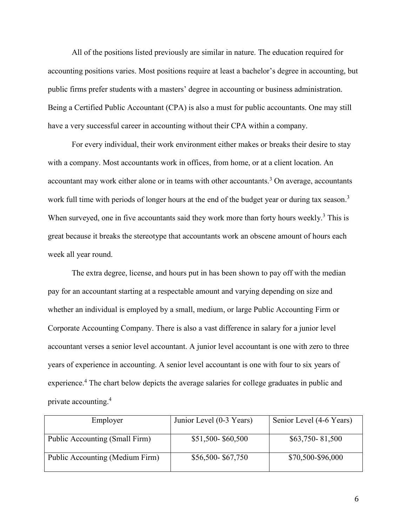All of the positions listed previously are similar in nature. The education required for accounting positions varies. Most positions require at least a bachelor's degree in accounting, but public firms prefer students with a masters' degree in accounting or business administration. Being a Certified Public Accountant (CPA) is also a must for public accountants. One may still have a very successful career in accounting without their CPA within a company.

For every individual, their work environment either makes or breaks their desire to stay with a company. Most accountants work in offices, from home, or at a client location. An accountant may work either alone or in teams with other accountants.<sup>3</sup> On average, accountants work full time with periods of longer hours at the end of the budget year or during tax season.<sup>3</sup> When surveyed, one in five accountants said they work more than forty hours weekly. $3$  This is great because it breaks the stereotype that accountants work an obscene amount of hours each week all year round.

The extra degree, license, and hours put in has been shown to pay off with the median pay for an accountant starting at a respectable amount and varying depending on size and whether an individual is employed by a small, medium, or large Public Accounting Firm or Corporate Accounting Company. There is also a vast difference in salary for a junior level accountant verses a senior level accountant. A junior level accountant is one with zero to three years of experience in accounting. A senior level accountant is one with four to six years of experience.<sup>4</sup> The chart below depicts the average salaries for college graduates in public and private accounting. 4

| Employer                        | Junior Level (0-3 Years) | Senior Level (4-6 Years) |
|---------------------------------|--------------------------|--------------------------|
|                                 |                          |                          |
| Public Accounting (Small Firm)  | \$51,500-\$60,500        | $$63,750 - 81,500$       |
|                                 |                          |                          |
| Public Accounting (Medium Firm) | \$56,500-\$67,750        | \$70,500-\$96,000        |
|                                 |                          |                          |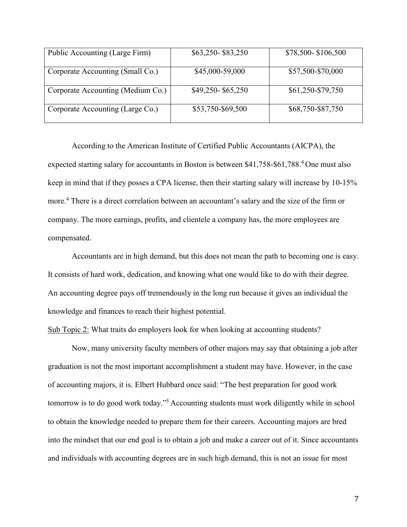| Public Accounting (Large Firm)    | \$63,250-\$83,250 | \$78,500-\$106,500 |
|-----------------------------------|-------------------|--------------------|
| Corporate Accounting (Small Co.)  | \$45,000-59,000   | \$57,500-\$70,000  |
| Corporate Accounting (Medium Co.) | \$49,250-\$65,250 | \$61,250-\$79,750  |
| Corporate Accounting (Large Co.)  | \$53,750-\$69,500 | \$68,750-\$87,750  |

According to the American Institute of Certified Public Accountants (AICPA), the expected starting salary for accountants in Boston is between \$41,758-\$61,788.<sup>4</sup> One must also keep in mind that if they posses a CPA license, then their starting salary will increase by 10-15% more.<sup>4</sup> There is a direct correlation between an accountant's salary and the size of the firm or company. The more earnings, profits, and clientele a company has, the more employees are compensated.

Accountants are in high demand, but this does not mean the path to becoming one is easy. It consists of hard work, dedication, and knowing what one would like to do with their degree. An accounting degree pays off tremendously in the long run because it gives an individual the knowledge and finances to reach their highest potential.

Sub Topic 2: What traits do employers look for when looking at accounting students?

Now, many university faculty members of other majors may say that obtaining a job after graduation is not the most important accomplishment a student may have. However, in the case of accounting majors, it is. Elbert Hubbard once said: "The best preparation for good work tomorrow is to do good work today."<sup>5</sup> Accounting students must work diligently while in school to obtain the knowledge needed to prepare them for their careers. Accounting majors are bred into the mindset that our end goal is to obtain a job and make a career out of it. Since accountants and individuals with accounting degrees are in such high demand, this is not an issue for most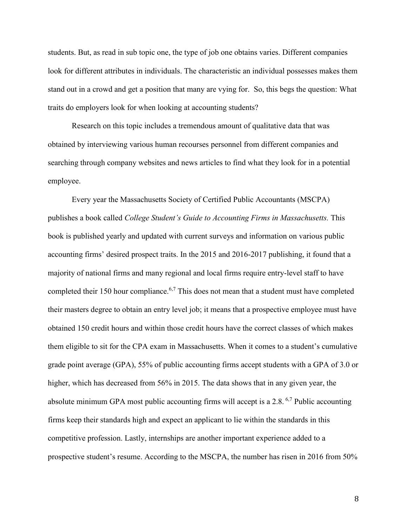students. But, as read in sub topic one, the type of job one obtains varies. Different companies look for different attributes in individuals. The characteristic an individual possesses makes them stand out in a crowd and get a position that many are vying for. So, this begs the question: What traits do employers look for when looking at accounting students?

Research on this topic includes a tremendous amount of qualitative data that was obtained by interviewing various human recourses personnel from different companies and searching through company websites and news articles to find what they look for in a potential employee.

Every year the Massachusetts Society of Certified Public Accountants (MSCPA) publishes a book called *College Student's Guide to Accounting Firms in Massachusetts.* This book is published yearly and updated with current surveys and information on various public accounting firms' desired prospect traits. In the 2015 and 2016-2017 publishing, it found that a majority of national firms and many regional and local firms require entry-level staff to have completed their 150 hour compliance.<sup>6,7</sup> This does not mean that a student must have completed their masters degree to obtain an entry level job; it means that a prospective employee must have obtained 150 credit hours and within those credit hours have the correct classes of which makes them eligible to sit for the CPA exam in Massachusetts. When it comes to a student's cumulative grade point average (GPA), 55% of public accounting firms accept students with a GPA of 3.0 or higher, which has decreased from 56% in 2015. The data shows that in any given year, the absolute minimum GPA most public accounting firms will accept is a 2.8. 6,7 Public accounting firms keep their standards high and expect an applicant to lie within the standards in this competitive profession. Lastly, internships are another important experience added to a prospective student's resume. According to the MSCPA, the number has risen in 2016 from 50%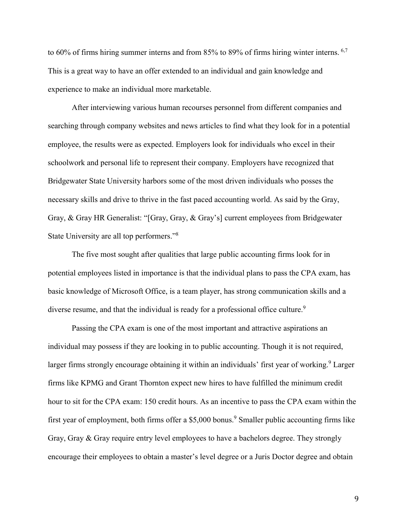to 60% of firms hiring summer interns and from 85% to 89% of firms hiring winter interns. 6,7 This is a great way to have an offer extended to an individual and gain knowledge and experience to make an individual more marketable.

After interviewing various human recourses personnel from different companies and searching through company websites and news articles to find what they look for in a potential employee, the results were as expected. Employers look for individuals who excel in their schoolwork and personal life to represent their company. Employers have recognized that Bridgewater State University harbors some of the most driven individuals who posses the necessary skills and drive to thrive in the fast paced accounting world. As said by the Gray, Gray, & Gray HR Generalist: "[Gray, Gray, & Gray's] current employees from Bridgewater State University are all top performers."<sup>8</sup>

The five most sought after qualities that large public accounting firms look for in potential employees listed in importance is that the individual plans to pass the CPA exam, has basic knowledge of Microsoft Office, is a team player, has strong communication skills and a diverse resume, and that the individual is ready for a professional office culture.<sup>9</sup>

Passing the CPA exam is one of the most important and attractive aspirations an individual may possess if they are looking in to public accounting. Though it is not required, larger firms strongly encourage obtaining it within an individuals' first year of working.<sup>9</sup> Larger firms like KPMG and Grant Thornton expect new hires to have fulfilled the minimum credit hour to sit for the CPA exam: 150 credit hours. As an incentive to pass the CPA exam within the first year of employment, both firms offer a \$5,000 bonus.<sup>9</sup> Smaller public accounting firms like Gray, Gray & Gray require entry level employees to have a bachelors degree. They strongly encourage their employees to obtain a master's level degree or a Juris Doctor degree and obtain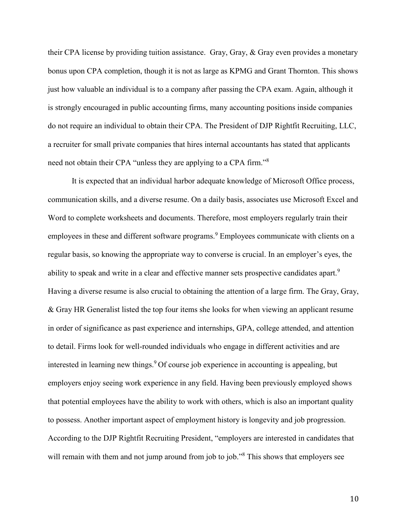their CPA license by providing tuition assistance. Gray, Gray, & Gray even provides a monetary bonus upon CPA completion, though it is not as large as KPMG and Grant Thornton. This shows just how valuable an individual is to a company after passing the CPA exam. Again, although it is strongly encouraged in public accounting firms, many accounting positions inside companies do not require an individual to obtain their CPA. The President of DJP Rightfit Recruiting, LLC, a recruiter for small private companies that hires internal accountants has stated that applicants need not obtain their CPA "unless they are applying to a CPA firm."<sup>8</sup>

It is expected that an individual harbor adequate knowledge of Microsoft Office process, communication skills, and a diverse resume. On a daily basis, associates use Microsoft Excel and Word to complete worksheets and documents. Therefore, most employers regularly train their employees in these and different software programs.<sup>9</sup> Employees communicate with clients on a regular basis, so knowing the appropriate way to converse is crucial. In an employer's eyes, the ability to speak and write in a clear and effective manner sets prospective candidates apart.<sup>9</sup> Having a diverse resume is also crucial to obtaining the attention of a large firm. The Gray, Gray, & Gray HR Generalist listed the top four items she looks for when viewing an applicant resume in order of significance as past experience and internships, GPA, college attended, and attention to detail. Firms look for well-rounded individuals who engage in different activities and are interested in learning new things.<sup>9</sup> Of course job experience in accounting is appealing, but employers enjoy seeing work experience in any field. Having been previously employed shows that potential employees have the ability to work with others, which is also an important quality to possess. Another important aspect of employment history is longevity and job progression. According to the DJP Rightfit Recruiting President, "employers are interested in candidates that will remain with them and not jump around from job to job."<sup>8</sup> This shows that employers see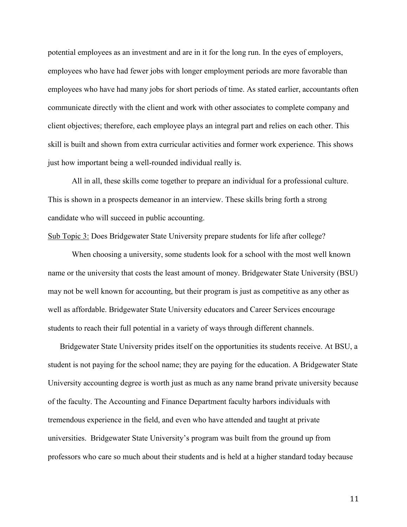potential employees as an investment and are in it for the long run. In the eyes of employers, employees who have had fewer jobs with longer employment periods are more favorable than employees who have had many jobs for short periods of time. As stated earlier, accountants often communicate directly with the client and work with other associates to complete company and client objectives; therefore, each employee plays an integral part and relies on each other. This skill is built and shown from extra curricular activities and former work experience. This shows just how important being a well-rounded individual really is.

All in all, these skills come together to prepare an individual for a professional culture. This is shown in a prospects demeanor in an interview. These skills bring forth a strong candidate who will succeed in public accounting.

### Sub Topic 3: Does Bridgewater State University prepare students for life after college?

When choosing a university, some students look for a school with the most well known name or the university that costs the least amount of money. Bridgewater State University (BSU) may not be well known for accounting, but their program is just as competitive as any other as well as affordable. Bridgewater State University educators and Career Services encourage students to reach their full potential in a variety of ways through different channels.

Bridgewater State University prides itself on the opportunities its students receive. At BSU, a student is not paying for the school name; they are paying for the education. A Bridgewater State University accounting degree is worth just as much as any name brand private university because of the faculty. The Accounting and Finance Department faculty harbors individuals with tremendous experience in the field, and even who have attended and taught at private universities. Bridgewater State University's program was built from the ground up from professors who care so much about their students and is held at a higher standard today because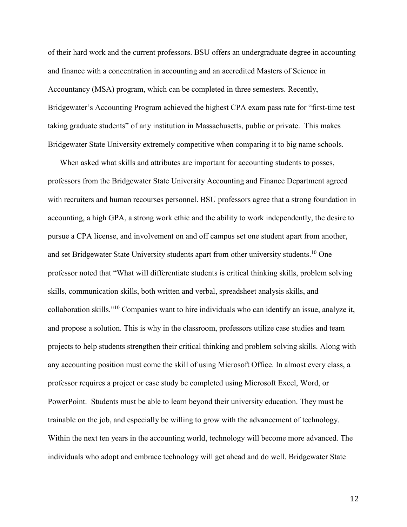of their hard work and the current professors. BSU offers an undergraduate degree in accounting and finance with a concentration in accounting and an accredited Masters of Science in Accountancy (MSA) program, which can be completed in three semesters. Recently, Bridgewater's Accounting Program achieved the highest CPA exam pass rate for "first-time test taking graduate students" of any institution in Massachusetts, public or private. This makes Bridgewater State University extremely competitive when comparing it to big name schools.

When asked what skills and attributes are important for accounting students to posses, professors from the Bridgewater State University Accounting and Finance Department agreed with recruiters and human recourses personnel. BSU professors agree that a strong foundation in accounting, a high GPA, a strong work ethic and the ability to work independently, the desire to pursue a CPA license, and involvement on and off campus set one student apart from another, and set Bridgewater State University students apart from other university students.<sup>10</sup> One professor noted that "What will differentiate students is critical thinking skills, problem solving skills, communication skills, both written and verbal, spreadsheet analysis skills, and collaboration skills."<sup>10</sup> Companies want to hire individuals who can identify an issue, analyze it, and propose a solution. This is why in the classroom, professors utilize case studies and team projects to help students strengthen their critical thinking and problem solving skills. Along with any accounting position must come the skill of using Microsoft Office. In almost every class, a professor requires a project or case study be completed using Microsoft Excel, Word, or PowerPoint. Students must be able to learn beyond their university education. They must be trainable on the job, and especially be willing to grow with the advancement of technology. Within the next ten years in the accounting world, technology will become more advanced. The individuals who adopt and embrace technology will get ahead and do well. Bridgewater State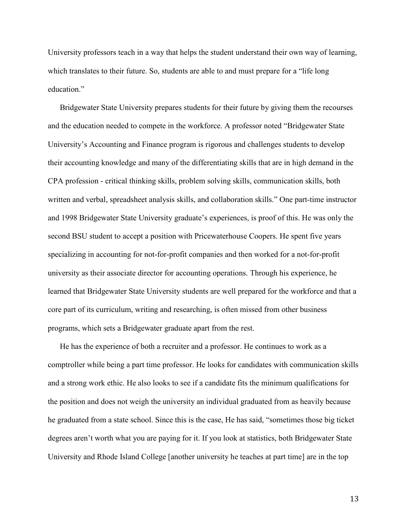University professors teach in a way that helps the student understand their own way of learning, which translates to their future. So, students are able to and must prepare for a "life long" education."

Bridgewater State University prepares students for their future by giving them the recourses and the education needed to compete in the workforce. A professor noted "Bridgewater State University's Accounting and Finance program is rigorous and challenges students to develop their accounting knowledge and many of the differentiating skills that are in high demand in the CPA profession - critical thinking skills, problem solving skills, communication skills, both written and verbal, spreadsheet analysis skills, and collaboration skills." One part-time instructor and 1998 Bridgewater State University graduate's experiences, is proof of this. He was only the second BSU student to accept a position with Pricewaterhouse Coopers. He spent five years specializing in accounting for not-for-profit companies and then worked for a not-for-profit university as their associate director for accounting operations. Through his experience, he learned that Bridgewater State University students are well prepared for the workforce and that a core part of its curriculum, writing and researching, is often missed from other business programs, which sets a Bridgewater graduate apart from the rest.

He has the experience of both a recruiter and a professor. He continues to work as a comptroller while being a part time professor. He looks for candidates with communication skills and a strong work ethic. He also looks to see if a candidate fits the minimum qualifications for the position and does not weigh the university an individual graduated from as heavily because he graduated from a state school. Since this is the case, He has said, "sometimes those big ticket degrees aren't worth what you are paying for it. If you look at statistics, both Bridgewater State University and Rhode Island College [another university he teaches at part time] are in the top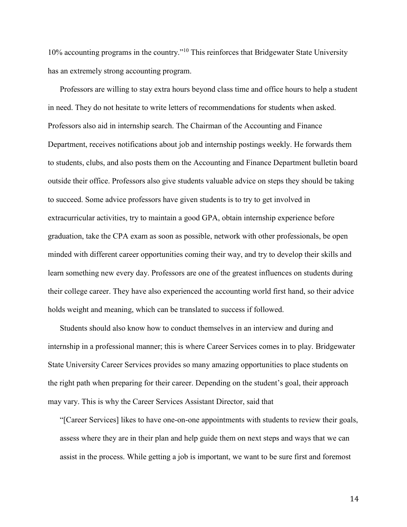10% accounting programs in the country."<sup>10</sup> This reinforces that Bridgewater State University has an extremely strong accounting program.

Professors are willing to stay extra hours beyond class time and office hours to help a student in need. They do not hesitate to write letters of recommendations for students when asked. Professors also aid in internship search. The Chairman of the Accounting and Finance Department, receives notifications about job and internship postings weekly. He forwards them to students, clubs, and also posts them on the Accounting and Finance Department bulletin board outside their office. Professors also give students valuable advice on steps they should be taking to succeed. Some advice professors have given students is to try to get involved in extracurricular activities, try to maintain a good GPA, obtain internship experience before graduation, take the CPA exam as soon as possible, network with other professionals, be open minded with different career opportunities coming their way, and try to develop their skills and learn something new every day. Professors are one of the greatest influences on students during their college career. They have also experienced the accounting world first hand, so their advice holds weight and meaning, which can be translated to success if followed.

Students should also know how to conduct themselves in an interview and during and internship in a professional manner; this is where Career Services comes in to play. Bridgewater State University Career Services provides so many amazing opportunities to place students on the right path when preparing for their career. Depending on the student's goal, their approach may vary. This is why the Career Services Assistant Director, said that

"[Career Services] likes to have one-on-one appointments with students to review their goals, assess where they are in their plan and help guide them on next steps and ways that we can assist in the process. While getting a job is important, we want to be sure first and foremost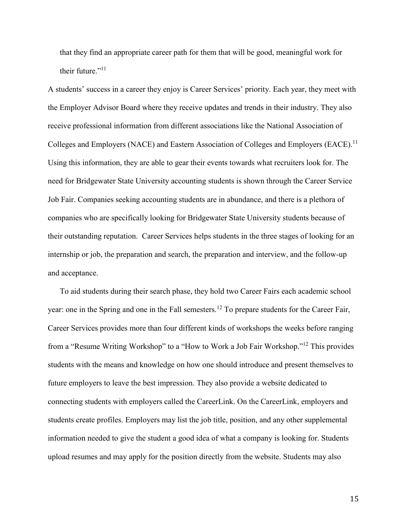that they find an appropriate career path for them that will be good, meaningful work for their future."<sup>11</sup>

A students' success in a career they enjoy is Career Services' priority. Each year, they meet with the Employer Advisor Board where they receive updates and trends in their industry. They also receive professional information from different associations like the National Association of Colleges and Employers (NACE) and Eastern Association of Colleges and Employers (EACE).<sup>11</sup> Using this information, they are able to gear their events towards what recruiters look for. The need for Bridgewater State University accounting students is shown through the Career Service Job Fair. Companies seeking accounting students are in abundance, and there is a plethora of companies who are specifically looking for Bridgewater State University students because of their outstanding reputation. Career Services helps students in the three stages of looking for an internship or job, the preparation and search, the preparation and interview, and the follow-up and acceptance.

To aid students during their search phase, they hold two Career Fairs each academic school year: one in the Spring and one in the Fall semesters.<sup>12</sup> To prepare students for the Career Fair, Career Services provides more than four different kinds of workshops the weeks before ranging from a "Resume Writing Workshop" to a "How to Work a Job Fair Workshop."<sup>12</sup> This provides students with the means and knowledge on how one should introduce and present themselves to future employers to leave the best impression. They also provide a website dedicated to connecting students with employers called the CareerLink. On the CareerLink, employers and students create profiles. Employers may list the job title, position, and any other supplemental information needed to give the student a good idea of what a company is looking for. Students upload resumes and may apply for the position directly from the website. Students may also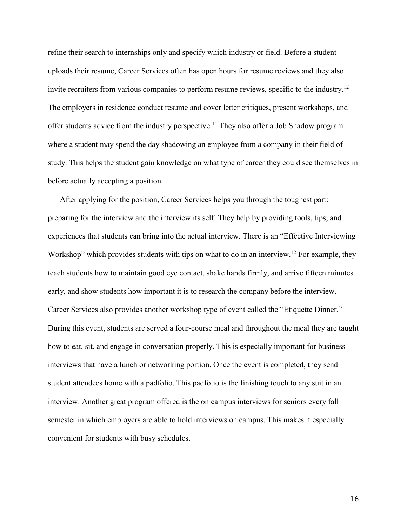refine their search to internships only and specify which industry or field. Before a student uploads their resume, Career Services often has open hours for resume reviews and they also invite recruiters from various companies to perform resume reviews, specific to the industry.<sup>12</sup> The employers in residence conduct resume and cover letter critiques, present workshops, and offer students advice from the industry perspective.<sup>11</sup> They also offer a Job Shadow program where a student may spend the day shadowing an employee from a company in their field of study. This helps the student gain knowledge on what type of career they could see themselves in before actually accepting a position.

After applying for the position, Career Services helps you through the toughest part: preparing for the interview and the interview its self. They help by providing tools, tips, and experiences that students can bring into the actual interview. There is an "Effective Interviewing Workshop" which provides students with tips on what to do in an interview.<sup>12</sup> For example, they teach students how to maintain good eye contact, shake hands firmly, and arrive fifteen minutes early, and show students how important it is to research the company before the interview. Career Services also provides another workshop type of event called the "Etiquette Dinner." During this event, students are served a four-course meal and throughout the meal they are taught how to eat, sit, and engage in conversation properly. This is especially important for business interviews that have a lunch or networking portion. Once the event is completed, they send student attendees home with a padfolio. This padfolio is the finishing touch to any suit in an interview. Another great program offered is the on campus interviews for seniors every fall semester in which employers are able to hold interviews on campus. This makes it especially convenient for students with busy schedules.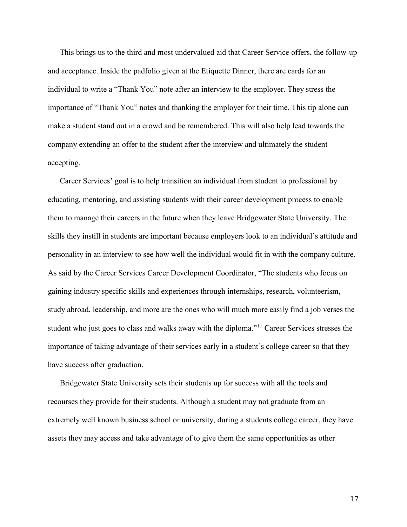This brings us to the third and most undervalued aid that Career Service offers, the follow-up and acceptance. Inside the padfolio given at the Etiquette Dinner, there are cards for an individual to write a "Thank You" note after an interview to the employer. They stress the importance of "Thank You" notes and thanking the employer for their time. This tip alone can make a student stand out in a crowd and be remembered. This will also help lead towards the company extending an offer to the student after the interview and ultimately the student accepting.

Career Services' goal is to help transition an individual from student to professional by educating, mentoring, and assisting students with their career development process to enable them to manage their careers in the future when they leave Bridgewater State University. The skills they instill in students are important because employers look to an individual's attitude and personality in an interview to see how well the individual would fit in with the company culture. As said by the Career Services Career Development Coordinator, "The students who focus on gaining industry specific skills and experiences through internships, research, volunteerism, study abroad, leadership, and more are the ones who will much more easily find a job verses the student who just goes to class and walks away with the diploma."<sup>11</sup> Career Services stresses the importance of taking advantage of their services early in a student's college career so that they have success after graduation.

Bridgewater State University sets their students up for success with all the tools and recourses they provide for their students. Although a student may not graduate from an extremely well known business school or university, during a students college career, they have assets they may access and take advantage of to give them the same opportunities as other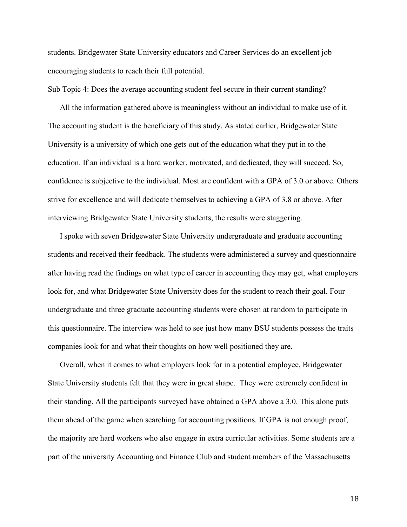students. Bridgewater State University educators and Career Services do an excellent job encouraging students to reach their full potential.

Sub Topic 4: Does the average accounting student feel secure in their current standing?

All the information gathered above is meaningless without an individual to make use of it. The accounting student is the beneficiary of this study. As stated earlier, Bridgewater State University is a university of which one gets out of the education what they put in to the education. If an individual is a hard worker, motivated, and dedicated, they will succeed. So, confidence is subjective to the individual. Most are confident with a GPA of 3.0 or above. Others strive for excellence and will dedicate themselves to achieving a GPA of 3.8 or above. After interviewing Bridgewater State University students, the results were staggering.

I spoke with seven Bridgewater State University undergraduate and graduate accounting students and received their feedback. The students were administered a survey and questionnaire after having read the findings on what type of career in accounting they may get, what employers look for, and what Bridgewater State University does for the student to reach their goal. Four undergraduate and three graduate accounting students were chosen at random to participate in this questionnaire. The interview was held to see just how many BSU students possess the traits companies look for and what their thoughts on how well positioned they are.

Overall, when it comes to what employers look for in a potential employee, Bridgewater State University students felt that they were in great shape. They were extremely confident in their standing. All the participants surveyed have obtained a GPA above a 3.0. This alone puts them ahead of the game when searching for accounting positions. If GPA is not enough proof, the majority are hard workers who also engage in extra curricular activities. Some students are a part of the university Accounting and Finance Club and student members of the Massachusetts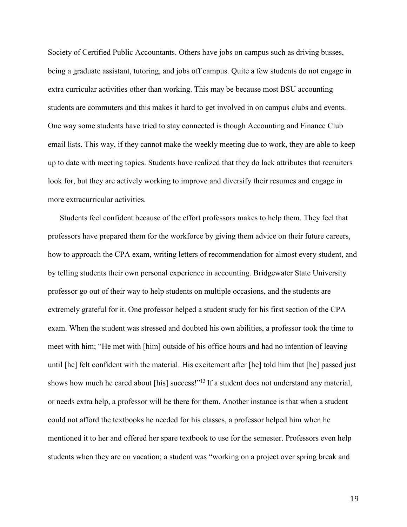Society of Certified Public Accountants. Others have jobs on campus such as driving busses, being a graduate assistant, tutoring, and jobs off campus. Quite a few students do not engage in extra curricular activities other than working. This may be because most BSU accounting students are commuters and this makes it hard to get involved in on campus clubs and events. One way some students have tried to stay connected is though Accounting and Finance Club email lists. This way, if they cannot make the weekly meeting due to work, they are able to keep up to date with meeting topics. Students have realized that they do lack attributes that recruiters look for, but they are actively working to improve and diversify their resumes and engage in more extracurricular activities.

Students feel confident because of the effort professors makes to help them. They feel that professors have prepared them for the workforce by giving them advice on their future careers, how to approach the CPA exam, writing letters of recommendation for almost every student, and by telling students their own personal experience in accounting. Bridgewater State University professor go out of their way to help students on multiple occasions, and the students are extremely grateful for it. One professor helped a student study for his first section of the CPA exam. When the student was stressed and doubted his own abilities, a professor took the time to meet with him; "He met with [him] outside of his office hours and had no intention of leaving until [he] felt confident with the material. His excitement after [he] told him that [he] passed just shows how much he cared about [his] success!"<sup>13</sup> If a student does not understand any material, or needs extra help, a professor will be there for them. Another instance is that when a student could not afford the textbooks he needed for his classes, a professor helped him when he mentioned it to her and offered her spare textbook to use for the semester. Professors even help students when they are on vacation; a student was "working on a project over spring break and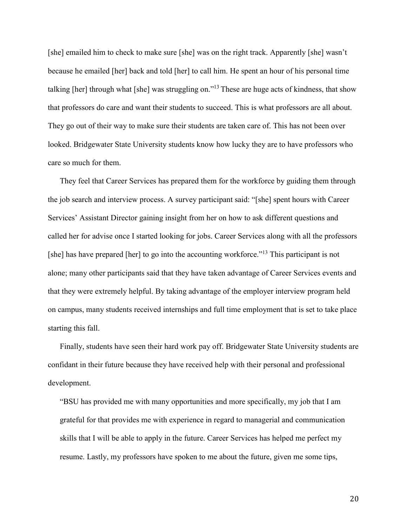[she] emailed him to check to make sure [she] was on the right track. Apparently [she] wasn't because he emailed [her] back and told [her] to call him. He spent an hour of his personal time talking [her] through what [she] was struggling on."<sup>13</sup> These are huge acts of kindness, that show that professors do care and want their students to succeed. This is what professors are all about. They go out of their way to make sure their students are taken care of. This has not been over looked. Bridgewater State University students know how lucky they are to have professors who care so much for them.

They feel that Career Services has prepared them for the workforce by guiding them through the job search and interview process. A survey participant said: "[she] spent hours with Career Services' Assistant Director gaining insight from her on how to ask different questions and called her for advise once I started looking for jobs. Career Services along with all the professors [she] has have prepared [her] to go into the accounting workforce."<sup>13</sup> This participant is not alone; many other participants said that they have taken advantage of Career Services events and that they were extremely helpful. By taking advantage of the employer interview program held on campus, many students received internships and full time employment that is set to take place starting this fall.

Finally, students have seen their hard work pay off. Bridgewater State University students are confidant in their future because they have received help with their personal and professional development.

"BSU has provided me with many opportunities and more specifically, my job that I am grateful for that provides me with experience in regard to managerial and communication skills that I will be able to apply in the future. Career Services has helped me perfect my resume. Lastly, my professors have spoken to me about the future, given me some tips,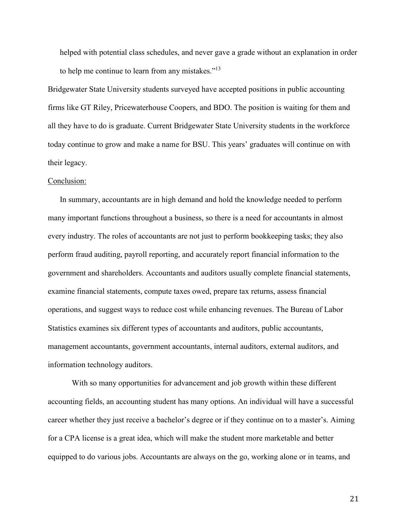helped with potential class schedules, and never gave a grade without an explanation in order to help me continue to learn from any mistakes." $13$ 

Bridgewater State University students surveyed have accepted positions in public accounting firms like GT Riley, Pricewaterhouse Coopers, and BDO. The position is waiting for them and all they have to do is graduate. Current Bridgewater State University students in the workforce today continue to grow and make a name for BSU. This years' graduates will continue on with their legacy.

#### Conclusion:

In summary, accountants are in high demand and hold the knowledge needed to perform many important functions throughout a business, so there is a need for accountants in almost every industry. The roles of accountants are not just to perform bookkeeping tasks; they also perform fraud auditing, payroll reporting, and accurately report financial information to the government and shareholders. Accountants and auditors usually complete financial statements, examine financial statements, compute taxes owed, prepare tax returns, assess financial operations, and suggest ways to reduce cost while enhancing revenues. The Bureau of Labor Statistics examines six different types of accountants and auditors, public accountants, management accountants, government accountants, internal auditors, external auditors, and information technology auditors.

With so many opportunities for advancement and job growth within these different accounting fields, an accounting student has many options. An individual will have a successful career whether they just receive a bachelor's degree or if they continue on to a master's. Aiming for a CPA license is a great idea, which will make the student more marketable and better equipped to do various jobs. Accountants are always on the go, working alone or in teams, and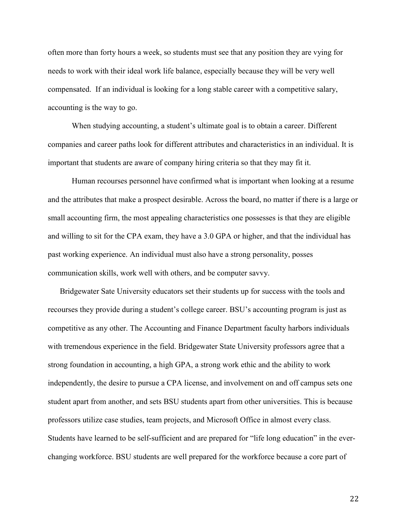often more than forty hours a week, so students must see that any position they are vying for needs to work with their ideal work life balance, especially because they will be very well compensated. If an individual is looking for a long stable career with a competitive salary, accounting is the way to go.

When studying accounting, a student's ultimate goal is to obtain a career. Different companies and career paths look for different attributes and characteristics in an individual. It is important that students are aware of company hiring criteria so that they may fit it.

Human recourses personnel have confirmed what is important when looking at a resume and the attributes that make a prospect desirable. Across the board, no matter if there is a large or small accounting firm, the most appealing characteristics one possesses is that they are eligible and willing to sit for the CPA exam, they have a 3.0 GPA or higher, and that the individual has past working experience. An individual must also have a strong personality, posses communication skills, work well with others, and be computer savvy.

Bridgewater Sate University educators set their students up for success with the tools and recourses they provide during a student's college career. BSU's accounting program is just as competitive as any other. The Accounting and Finance Department faculty harbors individuals with tremendous experience in the field. Bridgewater State University professors agree that a strong foundation in accounting, a high GPA, a strong work ethic and the ability to work independently, the desire to pursue a CPA license, and involvement on and off campus sets one student apart from another, and sets BSU students apart from other universities. This is because professors utilize case studies, team projects, and Microsoft Office in almost every class. Students have learned to be self-sufficient and are prepared for "life long education" in the everchanging workforce. BSU students are well prepared for the workforce because a core part of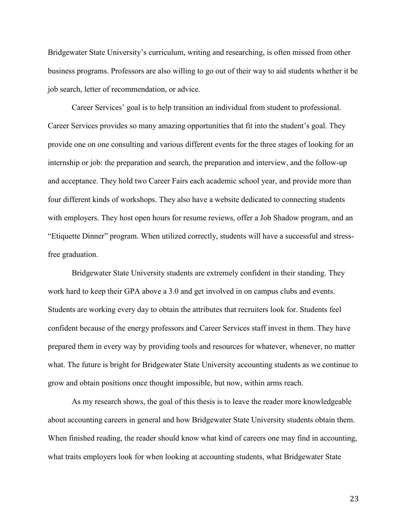Bridgewater State University's curriculum, writing and researching, is often missed from other business programs. Professors are also willing to go out of their way to aid students whether it be job search, letter of recommendation, or advice.

Career Services' goal is to help transition an individual from student to professional. Career Services provides so many amazing opportunities that fit into the student's goal. They provide one on one consulting and various different events for the three stages of looking for an internship or job: the preparation and search, the preparation and interview, and the follow-up and acceptance. They hold two Career Fairs each academic school year, and provide more than four different kinds of workshops. They also have a website dedicated to connecting students with employers. They host open hours for resume reviews, offer a Job Shadow program, and an "Etiquette Dinner" program. When utilized correctly, students will have a successful and stressfree graduation.

Bridgewater State University students are extremely confident in their standing. They work hard to keep their GPA above a 3.0 and get involved in on campus clubs and events. Students are working every day to obtain the attributes that recruiters look for. Students feel confident because of the energy professors and Career Services staff invest in them. They have prepared them in every way by providing tools and resources for whatever, whenever, no matter what. The future is bright for Bridgewater State University accounting students as we continue to grow and obtain positions once thought impossible, but now, within arms reach.

As my research shows, the goal of this thesis is to leave the reader more knowledgeable about accounting careers in general and how Bridgewater State University students obtain them. When finished reading, the reader should know what kind of careers one may find in accounting, what traits employers look for when looking at accounting students, what Bridgewater State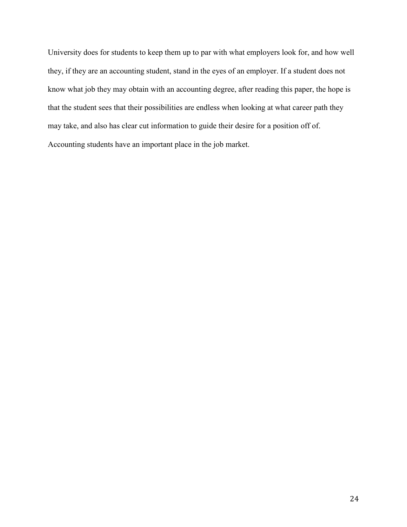University does for students to keep them up to par with what employers look for, and how well they, if they are an accounting student, stand in the eyes of an employer. If a student does not know what job they may obtain with an accounting degree, after reading this paper, the hope is that the student sees that their possibilities are endless when looking at what career path they may take, and also has clear cut information to guide their desire for a position off of. Accounting students have an important place in the job market.